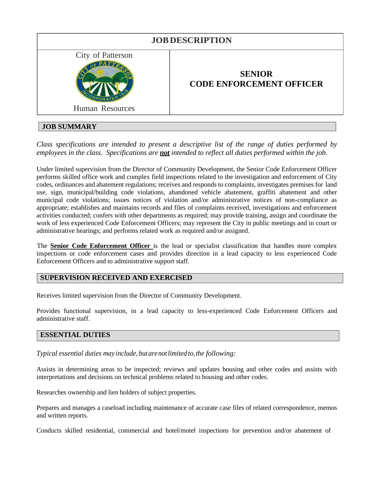

# **JOB SUMMARY**

*Class specifications are intended to present a descriptive list of the range of duties performed by employees in the class. Specifications are not intended to reflect all duties performed within the job.*

Under limited supervision from the Director of Community Development, the Senior Code Enforcement Officer performs skilled office work and complex field inspections related to the investigation and enforcement of City codes, ordinances and abatement regulations; receives and responds to complaints, investigates premises for land use, sign, municipal/building code violations, abandoned vehicle abatement, graffiti abatement and other municipal code violations; issues notices of violation and/or administrative notices of non-compliance as appropriate; establishes and maintains records and files of complaints received, investigations and enforcement activities conducted; confers with other departments as required; may provide training, assign and coordinate the work of less experienced Code Enforcement Officers; may represent the City in public meetings and in court or administrative hearings; and performs related work as required and/or assigned.

The **Senior Code Enforcement Officer** is the lead or specialist classification that handles more complex inspections or code enforcement cases and provides direction in a lead capacity to less experienced Code Enforcement Officers and to administrative support staff.

### **SUPERVISION RECEIVED AND EXERCISED**

Receives limited supervision from the Director of Community Development.

Provides functional supervision, in a lead capacity to less-experienced Code Enforcement Officers and administrative staff.

### **ESSENTIAL DUTIES**

*Typical essential duties may include, butarenotlimited to,the following:*

Assists in determining areas to be inspected; reviews and updates housing and other codes and assists with interpretations and decisions on technical problems related to housing and other codes.

Researches ownership and lien holders of subject properties.

Prepares and manages a caseload including maintenance of accurate case files of related correspondence, memos and written reports.

Conducts skilled residential, commercial and hotel/motel inspections for prevention and/or abatement of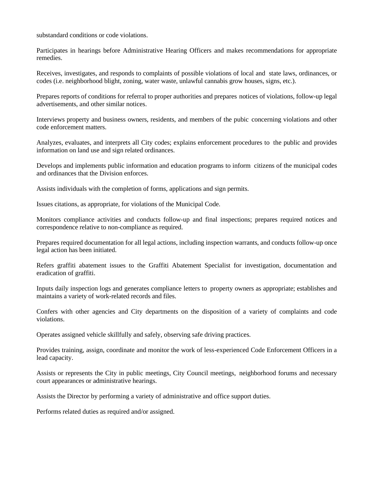substandard conditions or code violations.

Participates in hearings before Administrative Hearing Officers and makes recommendations for appropriate remedies.

Receives, investigates, and responds to complaints of possible violations of local and state laws, ordinances, or codes (i.e. neighborhood blight, zoning, water waste, unlawful cannabis grow houses, signs, etc.).

Prepares reports of conditions for referral to proper authorities and prepares notices of violations, follow-up legal advertisements, and other similar notices.

Interviews property and business owners, residents, and members of the pubic concerning violations and other code enforcement matters.

Analyzes, evaluates, and interprets all City codes; explains enforcement procedures to the public and provides information on land use and sign related ordinances.

Develops and implements public information and education programs to inform citizens of the municipal codes and ordinances that the Division enforces.

Assists individuals with the completion of forms, applications and sign permits.

Issues citations, as appropriate, for violations of the Municipal Code.

Monitors compliance activities and conducts follow-up and final inspections; prepares required notices and correspondence relative to non-compliance as required.

Prepares required documentation for all legal actions, including inspection warrants, and conducts follow-up once legal action has been initiated.

Refers graffiti abatement issues to the Graffiti Abatement Specialist for investigation, documentation and eradication of graffiti.

Inputs daily inspection logs and generates compliance letters to property owners as appropriate; establishes and maintains a variety of work-related records and files.

Confers with other agencies and City departments on the disposition of a variety of complaints and code violations.

Operates assigned vehicle skillfully and safely, observing safe driving practices.

Provides training, assign, coordinate and monitor the work of less-experienced Code Enforcement Officers in a lead capacity.

Assists or represents the City in public meetings, City Council meetings, neighborhood forums and necessary court appearances or administrative hearings.

Assists the Director by performing a variety of administrative and office support duties.

Performs related duties as required and/or assigned.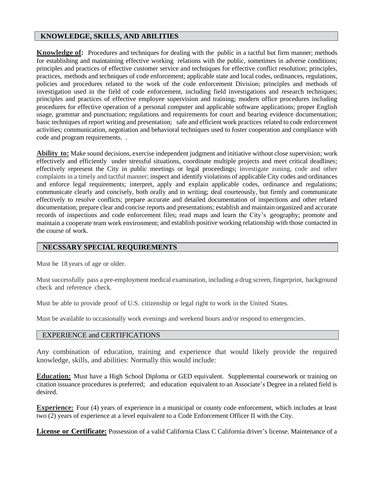### **KNOWLEDGE, SKILLS, AND ABILITIES**

**Knowledge of:** Procedures and techniques for dealing with the public in a tactful but firm manner; methods for establishing and maintaining effective working relations with the public, sometimes in adverse conditions; principles and practices of effective customer service and techniques for effective conflict resolution; principles, practices, methods and techniques of code enforcement; applicable state and local codes, ordinances, regulations, policies and procedures related to the work of the code enforcement Division; principles and methods of investigation used in the field of code enforcement, including field investigations and research techniques; principles and practices of effective employee supervision and training; modern office procedures including procedures for effective operation of a personal computer and applicable software applications; proper English usage, grammar and punctuation; regulations and requirements for court and hearing evidence documentation; basic techniques of report writing and presentation; safe and efficient work practices related to code enforcement activities; communication, negotiation and behavioral techniques used to foster cooperation and compliance with code and program requirements. .

**Ability to:** Make sound decisions, exercise independent judgment and initiative without close supervision; work effectively and efficiently under stressful situations, coordinate multiple projects and meet critical deadlines; effectively represent the City in public meetings or legal proceedings; investigate zoning, code and other complaints in a timely and tactful manner; inspect and identify violations of applicable City codes and ordinances and enforce legal requirements; interpret, apply and explain applicable codes, ordinance and regulations; communicate clearly and concisely, both orally and in writing; deal courteously, but firmly and communicate effectively to resolve conflicts; prepare accurate and detailed documentation of inspections and other related documentation; prepare clear and concise reports and presentations; establish and maintain organized and accurate records of inspections and code enforcement files; read maps and learn the City's geography; promote and maintain a cooperate team work environment; and establish positive working relationship with those contacted in the course of work.

# **NECSSARY SPECIAL REQUIREMENTS**

Must be 18 years of age or older.

Must successfully pass a pre-employment medical examination, including a drug screen, fingerprint, background check and reference check.

Must be able to provide proof of U.S. citizenship or legal right to work in the United States.

Must be available to occasionally work evenings and weekend hours and/or respond to emergencies.

### EXPERIENCE and CERTIFICATIONS

Any combination of education, training and experience that would likely provide the required knowledge, skills, and abilities: Normally this would include:

**Education:** Must have a High School Diploma or GED equivalent. Supplemental coursework or training on citation issuance procedures is preferred; and education equivalent to an Associate's Degree in a related field is desired.

**Experience:** Four (4) years of experience in a municipal or county code enforcement, which includes at least two (2) years of experience at a level equivalent to a Code Enforcement Officer II with the City.

**License or Certificate:** Possession of a valid California Class C California driver's license. Maintenance of a